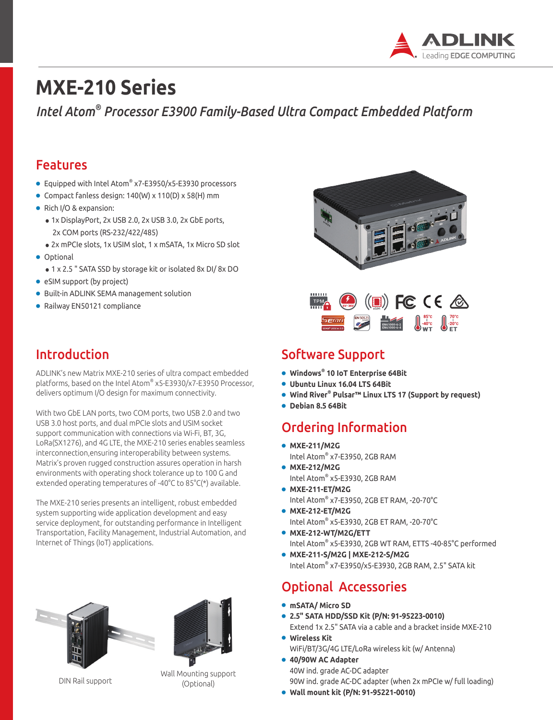

# **MXE-210 Series**

*Intel Atom® Processor E3900 Family-Based Ultra Compact Embedded Platform*

#### Features

- Equipped with Intel Atom® x7-E3950/x5-E3930 processors
- Compact fanless design: 140(W) x 110(D) x 58(H) mm
- Rich I/O & expansion:
	- 1x DisplayPort, 2x USB 2.0, 2x USB 3.0, 2x GbE ports, 2x COM ports (RS-232/422/485)
	- 2x mPCIe slots, 1x USIM slot, 1 x mSATA, 1x Micro SD slot
- Optional
	- 1 x 2.5 " SATA SSD by storage kit or isolated 8x DI/ 8x DO
- eSIM support (by project)
- Built-in ADLINK SEMA management solution
- Railway EN50121 compliance

### Introduction

ADLINK's new Matrix MXE-210 series of ultra compact embedded platforms, based on the Intel Atom® x5-E3930/x7-E3950 Processor, delivers optimum I/O design for maximum connectivity.

With two GbE LAN ports, two COM ports, two USB 2.0 and two USB 3.0 host ports, and dual mPCIe slots and USIM socket support communication with connections via Wi-Fi, BT, 3G, LoRa(SX1276), and 4G LTE, the MXE-210 series enables seamless interconnection,ensuring interoperability between systems. Matrix's proven rugged construction assures operation in harsh environments with operating shock tolerance up to 100 G and extended operating temperatures of -40°C to 85°C(\*) available.

The MXE-210 series presents an intelligent, robust embedded system supporting wide application development and easy service deployment, for outstanding performance in Intelligent Transportation, Facility Management, Industrial Automation, and Internet of Things (IoT) applications.





Wall Mounting support<br>Continual Mortional (Optional)





### Software Support

- **Windows® 10 IoT Enterprise 64Bit**
- **Ubuntu Linux 16.04 LTS 64Bit**
- **Wind River® Pulsar™ Linux LTS 17 (Support by request)**
- **Debian 8.5 64Bit**

## Ordering Information

- **MXE-211/M2G** Intel Atom® x7-E3950, 2GB RAM
- **MXE-212/M2G** Intel Atom® x5-E3930, 2GB RAM
- **MXE-211-ET/M2G** Intel Atom® x7-E3950, 2GB ET RAM, -20-70°C
- **MXE-212-ET/M2G** Intel Atom® x5-E3930, 2GB ET RAM, -20-70°C
- **MXE-212-WT/M2G/ETT** Intel Atom® x5-E3930, 2GB WT RAM, ETTS -40-85°C performed
- **MXE-211-S/M2G | MXE-212-S/M2G** Intel Atom® x7-E3950/x5-E3930, 2GB RAM, 2.5" SATA kit

#### Optional Accessories

- **mSATA/ Micro SD**
- **2.5" SATA HDD/SSD Kit (P/N: 91-95223-0010)** Extend 1x 2.5" SATA via a cable and a bracket inside MXE-210
- **Wireless Kit**  WiFi/BT/3G/4G LTE/LoRa wireless kit (w/ Antenna)
- **40/90W AC Adapter** 40W ind. grade AC-DC adapter 90W ind. grade AC-DC adapter (when 2x mPCIe w/ full loading)
- **Wall mount kit (P/N: 91-95221-0010)**